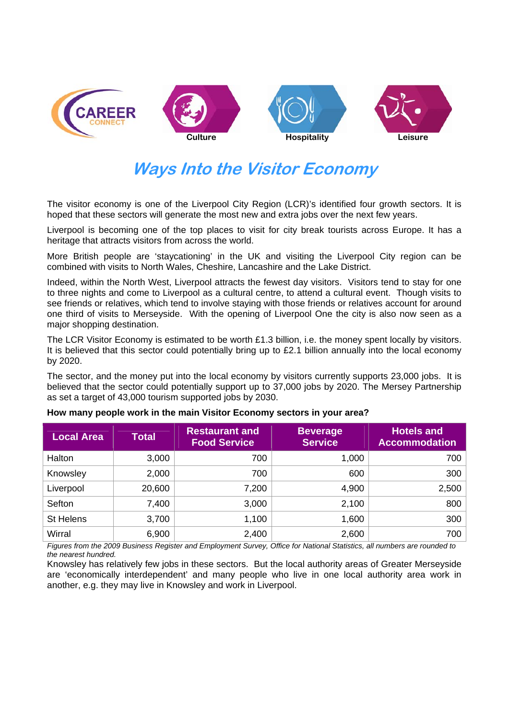

# **Ways Into the Visitor Economy**

The visitor economy is one of the Liverpool City Region (LCR)'s identified four growth sectors. It is hoped that these sectors will generate the most new and extra jobs over the next few vears.

Liverpool is becoming one of the top places to visit for city break tourists across Europe. It has a heritage that attracts visitors from across the world.

More British people are 'staycationing' in the UK and visiting the Liverpool City region can be combined with visits to North Wales, Cheshire, Lancashire and the Lake District.

Indeed, within the North West, Liverpool attracts the fewest day visitors. Visitors tend to stay for one to three nights and come to Liverpool as a cultural centre, to attend a cultural event. Though visits to see friends or relatives, which tend to involve staying with those friends or relatives account for around one third of visits to Merseyside. With the opening of Liverpool One the city is also now seen as a major shopping destination.

The LCR Visitor Economy is estimated to be worth £1.3 billion, i.e. the money spent locally by visitors. It is believed that this sector could potentially bring up to £2.1 billion annually into the local economy by 2020.

The sector, and the money put into the local economy by visitors currently supports 23,000 jobs. It is believed that the sector could potentially support up to 37,000 jobs by 2020. The Mersey Partnership as set a target of 43,000 tourism supported jobs by 2030.

| <b>Local Area</b> | <b>Total</b> | <b>Restaurant and</b><br><b>Food Service</b> | <b>Beverage</b><br><b>Service</b> | <b>Hotels and</b><br><b>Accommodation</b> |
|-------------------|--------------|----------------------------------------------|-----------------------------------|-------------------------------------------|
| Halton            | 3,000        | 700                                          | 1,000                             | 700                                       |
| Knowsley          | 2,000        | 700                                          | 600                               | 300                                       |
| Liverpool         | 20,600       | 7,200                                        | 4,900                             | 2,500                                     |
| Sefton            | 7,400        | 3,000                                        | 2,100                             | 800                                       |
| St Helens         | 3,700        | 1,100                                        | 1,600                             | 300                                       |
| Wirral            | 6,900        | 2,400                                        | 2,600                             | 700                                       |

#### **How many people work in the main Visitor Economy sectors in your area?**

*Figures from the 2009 Business Register and Employment Survey, Office for National Statistics, all numbers are rounded to the nearest hundred.* 

Knowsley has relatively few jobs in these sectors. But the local authority areas of Greater Merseyside are 'economically interdependent' and many people who live in one local authority area work in another, e.g. they may live in Knowsley and work in Liverpool.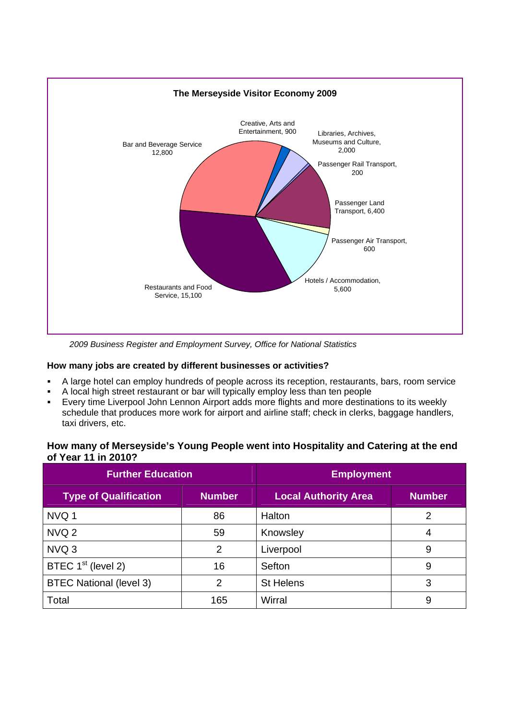

*2009 Business Register and Employment Survey, Office for National Statistics* 

#### **How many jobs are created by different businesses or activities?**

- A large hotel can employ hundreds of people across its reception, restaurants, bars, room service
- A local high street restaurant or bar will typically employ less than ten people
- Every time Liverpool John Lennon Airport adds more flights and more destinations to its weekly schedule that produces more work for airport and airline staff; check in clerks, baggage handlers, taxi drivers, etc.

#### **How many of Merseyside's Young People went into Hospitality and Catering at the end of Year 11 in 2010?**

| <b>Further Education</b>       |               | <b>Employment</b>           |               |  |
|--------------------------------|---------------|-----------------------------|---------------|--|
| <b>Type of Qualification</b>   | <b>Number</b> | <b>Local Authority Area</b> | <b>Number</b> |  |
| NVQ 1                          | 86            | Halton                      | 2             |  |
| NVQ <sub>2</sub>               | 59            | Knowsley                    | 4             |  |
| NVQ 3                          | 2             | Liverpool                   | 9             |  |
| BTEC 1 <sup>st</sup> (level 2) | 16            | Sefton                      | 9             |  |
| <b>BTEC National (level 3)</b> | 2             | <b>St Helens</b>            | 3             |  |
| Total                          | 165           | Wirral                      | 9             |  |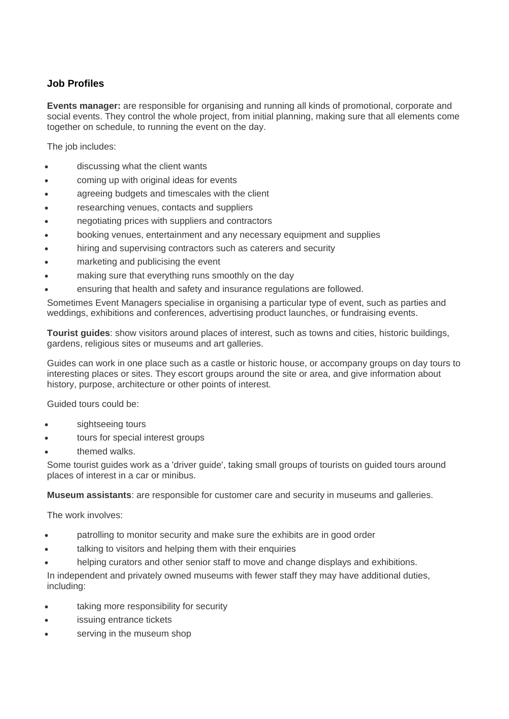## **Job Profiles**

**Events manager:** are responsible for organising and running all kinds of promotional, corporate and social events. They control the whole project, from initial planning, making sure that all elements come together on schedule, to running the event on the day.

The job includes:

- discussing what the client wants
- coming up with original ideas for events
- agreeing budgets and timescales with the client
- researching venues, contacts and suppliers
- negotiating prices with suppliers and contractors
- booking venues, entertainment and any necessary equipment and supplies
- hiring and supervising contractors such as caterers and security
- marketing and publicising the event
- making sure that everything runs smoothly on the day
- ensuring that health and safety and insurance regulations are followed.

Sometimes Event Managers specialise in organising a particular type of event, such as parties and weddings, exhibitions and conferences, advertising product launches, or fundraising events.

**Tourist guides**: show visitors around places of interest, such as towns and cities, historic buildings, gardens, religious sites or museums and art galleries.

Guides can work in one place such as a castle or historic house, or accompany groups on day tours to interesting places or sites. They escort groups around the site or area, and give information about history, purpose, architecture or other points of interest.

Guided tours could be:

- sightseeing tours
- tours for special interest groups
- themed walks.

Some tourist guides work as a 'driver guide', taking small groups of tourists on guided tours around places of interest in a car or minibus.

**Museum assistants**: are responsible for customer care and security in museums and galleries.

The work involves:

- patrolling to monitor security and make sure the exhibits are in good order
- talking to visitors and helping them with their enquiries
- helping curators and other senior staff to move and change displays and exhibitions.

In independent and privately owned museums with fewer staff they may have additional duties, including:

- taking more responsibility for security
- issuing entrance tickets
- serving in the museum shop